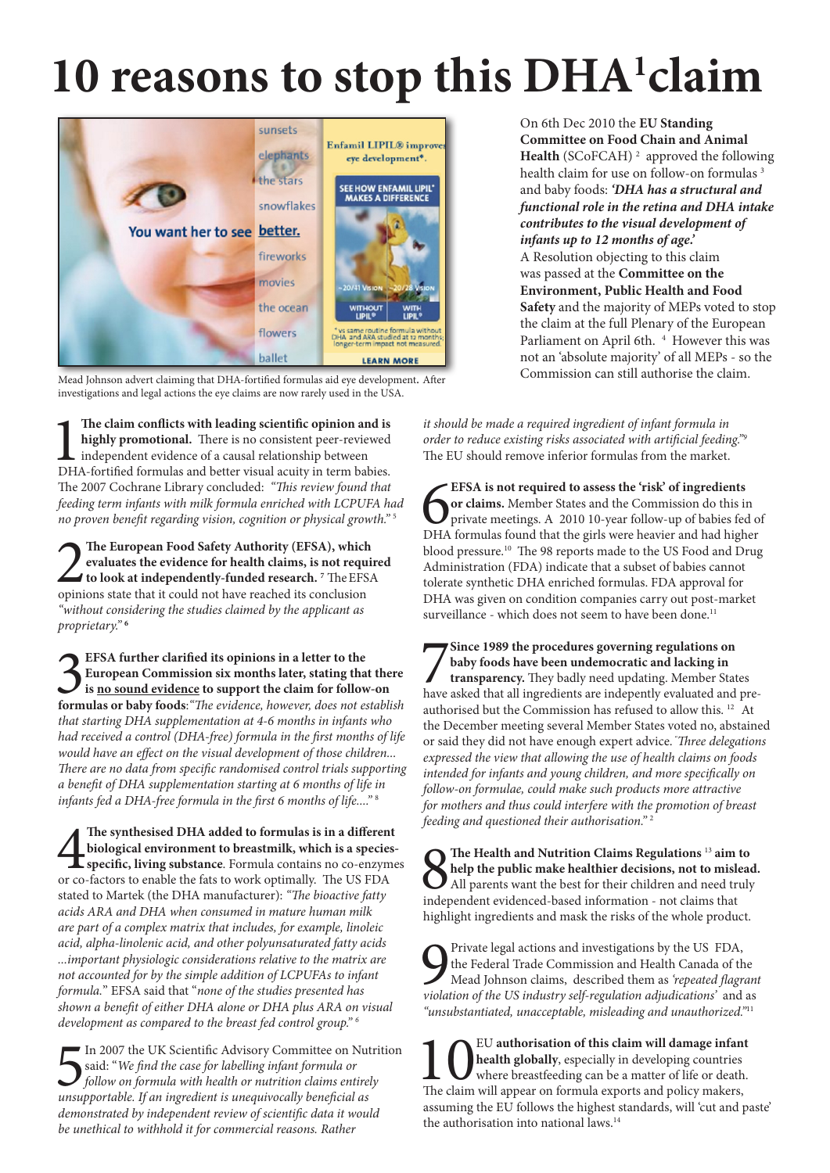## 10 reasons to stop this DHA<sup>1</sup>claim



Mead Johnson advert claiming that DHA-fortified formulas aid eye development. After investigations and legal actions the eye claims are now rarely used in the USA.

1 **The claim conflicts with leading scientific opinion and is highly promotional.** There is no consistent peer-reviewed independent evidence of a causal relationship between DHA-fortified formulas and better visual acuity in term babies. The 2007 Cochrane Library concluded: *"This review found that feeding term infants with milk formula enriched with LCPUFA had no proven benefit regarding vision, cognition or physical growth."* <sup>5</sup>

**2** The European Food Safety Authority (EFSA), which evaluates the evidence for health claims, is not requisible to look at independently-funded research.<sup>7</sup> The EFSA opinions state that it could not have reached its concl **evaluates the evidence for health claims, is not required to look at independently-funded research. 7** TheEFSA opinions state that it could not have reached its conclusion *"without considering the studies claimed by the applicant as proprietary."* **<sup>6</sup>**

**formulas or baby foods:** "The evidence, however, does not establish **formulas or baby foods:** "The evidence, however, does not establish **EFSA further clarified its opinions in a letter to the European Commission six months later, stating that there is no sound evidence to support the claim for follow-on**  *that starting DHA supplementation at 4-6 months in infants who had received a control (DHA-free) formula in the first months of life would have an effect on the visual development of those children... There are no data from specific randomised control trials supporting a benefit of DHA supplementation starting at 6 months of life in infants fed a DHA-free formula in the first 6 months of life...."* <sup>8</sup>

The synthesised DHA added to formulas is in a different biological environment to breastmilk, which is a species specific, living substance. Formula contains no co-enzym or co-factors to enable the fats to work optimally. **The synthesised DHA added to formulas is in a different biological environment to breastmilk, which is a speciesspecific, living substance**. Formula contains no co-enzymes stated to Martek (the DHA manufacturer): *"The bioactive fatty acids ARA and DHA when consumed in mature human milk are part of a complex matrix that includes, for example, linoleic acid, alpha-linolenic acid, and other polyunsaturated fatty acids ...important physiologic considerations relative to the matrix are not accounted for by the simple addition of LCPUFAs to infant formula.*" EFSA said that "*none of the studies presented has shown a benefit of either DHA alone or DHA plus ARA on visual development as compared to the breast fed control group." 6*

In 2007 the UK Scientific Advisory Committee on Nut<br>said: "We find the case for labelling infant formula or<br>follow on formula with health or nutrition claims entired<br>unsupportable. If an ingredient is unequivocally benefic In 2007 the UK Scientific Advisory Committee on Nutrition said: "*We find the case for labelling infant formula or follow on formula with health or nutrition claims entirely demonstrated by independent review of scientific data it would be unethical to withhold it for commercial reasons. Rather* 

On 6th Dec 2010 the **EU Standing Committee on Food Chain and Animal**  Health (SCoFCAH)<sup>2</sup> approved the following health claim for use on follow-on formulas<sup>3</sup> and baby foods: *'DHA has a structural and functional role in the retina and DHA intake contributes to the visual development of infants up to 12 months of age.'*  A Resolution objecting to this claim was passed at the **Committee on the Environment, Public Health and Food Safety** and the majority of MEPs voted to stop the claim at the full Plenary of the European Parliament on April 6th. <sup>4</sup> However this was not an 'absolute majority' of all MEPs - so the Commission can still authorise the claim.

*it should be made a required ingredient of infant formula in order to reduce existing risks associated with artificial feeding."9*  The EU should remove inferior formulas from the market.

EFSA is not required to assess the 'risk' of ingredients<br> **O** or claims. Member States and the Commission do this in<br>
private meetings. A 2010 10-year follow-up of babies fed o<br>
DHA formulas found that the girls were heavi **EFSA is not required to assess the 'risk' of ingredients or claims.** Member States and the Commission do this in private meetings. A 2010 10-year follow-up of babies fed of blood pressure.<sup>10</sup> The 98 reports made to the US Food and Drug Administration (FDA) indicate that a subset of babies cannot tolerate synthetic DHA enriched formulas. FDA approval for DHA was given on condition companies carry out post-market surveillance - which does not seem to have been done.<sup>11</sup>

Since 1989 the procedures governing regulations on<br>baby foods have been undemocratic and lacking in<br>transparency. They badly need updating. Member States<br>have asked that all ingredients are indepently evaluated and pre-**Since 1989 the procedures governing regulations on baby foods have been undemocratic and lacking in transparency.** They badly need updating. Member States authorised but the Commission has refused to allow this. 12 At the December meeting several Member States voted no, abstained or said they did not have enough expert advice. *" Three delegations expressed the view that allowing the use of health claims on foods intended for infants and young children, and more specifically on follow-on formulae, could make such products more attractive for mothers and thus could interfere with the promotion of breast feeding and questioned their authorisation."* <sup>2</sup>

**8 The Health and Nutrition Claims Regulations** <sup>13</sup> **aim to help the public make healthier decisions, not to mislead.** All parents want the best for their children and need truly independent evidenced-based information - not claims that highlight ingredients and mask the risks of the whole product.

**O** Private legal actions and investigations by the US FDA, the Federal Trade Commission and Health Canada of the Mead Johnson claims, described them as *'repeated flagran*' *violation of the US industry self-regulation ad* Private legal actions and investigations by the US FDA, the Federal Trade Commission and Health Canada of the Mead Johnson claims, described them as *'repeated flagrant "unsubstantiated, unacceptable, misleading and unauthorized."*<sup>11</sup>

**10** EU **authorisation of this claim will damage infant phealth globally**, especially in developing countries where breastfeeding can be a matter of life or death. The claim will appear on formula exports and policy make **health globally**, especially in developing countries where breastfeeding can be a matter of life or death. assuming the EU follows the highest standards, will 'cut and paste' the authorisation into national laws.14